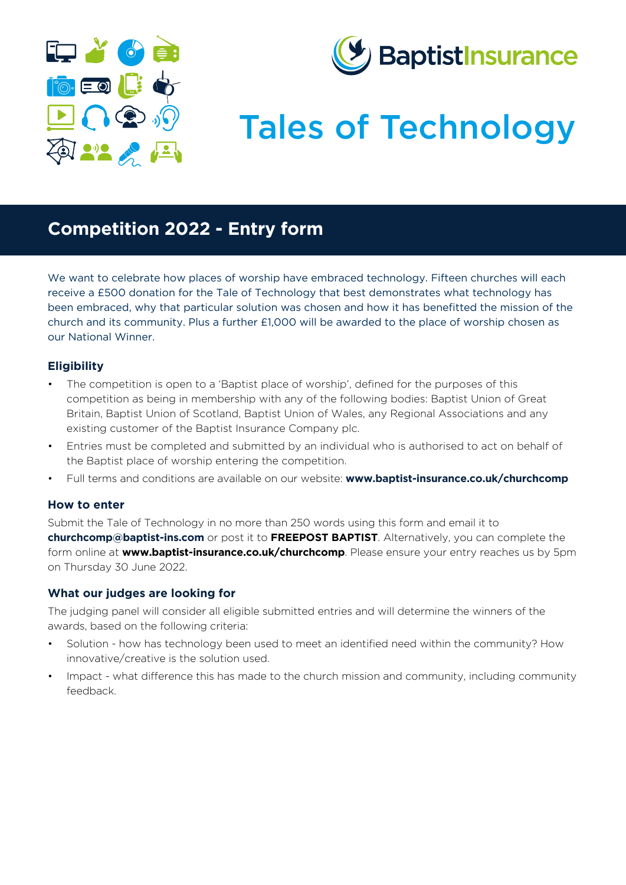



# Tales of Technology

### **Competition 2022 - Entry form**

We want to celebrate how places of worship have embraced technology. Fifteen churches will each receive a £500 donation for the Tale of Technology that best demonstrates what technology has been embraced, why that particular solution was chosen and how it has benefitted the mission of the church and its community. Plus a further £1,000 will be awarded to the place of worship chosen as our National Winner.

#### **Eligibility**

- The competition is open to a 'Baptist place of worship', defined for the purposes of this competition as being in membership with any of the following bodies: Baptist Union of Great Britain, Baptist Union of Scotland, Baptist Union of Wales, any Regional Associations and any existing customer of the Baptist Insurance Company plc.
- Entries must be completed and submitted by an individual who is authorised to act on behalf of the Baptist place of worship entering the competition.
- Full terms and conditions are available on our website: **[www.baptist-insurance.co.uk/churchcomp](http://www.baptist-insurance.co.uk/churchcomp)**

#### **How to enter**

Submit the Tale of Technology in no more than 250 words using this form and email it to **churchcomp@baptist-ins.com** or post it to **FREEPOST BAPTIST**. Alternatively, you can complete the form online at **[www.baptist-insurance.co.uk/churchcomp](http://www.baptist-insurance.co.uk/churchcomp)**. Please ensure your entry reaches us by 5pm on Thursday 30 June 2022.

#### **What our judges are looking for**

The judging panel will consider all eligible submitted entries and will determine the winners of the awards, based on the following criteria:

- Solution how has technology been used to meet an identified need within the community? How innovative/creative is the solution used.
- Impact what difference this has made to the church mission and community, including community feedback.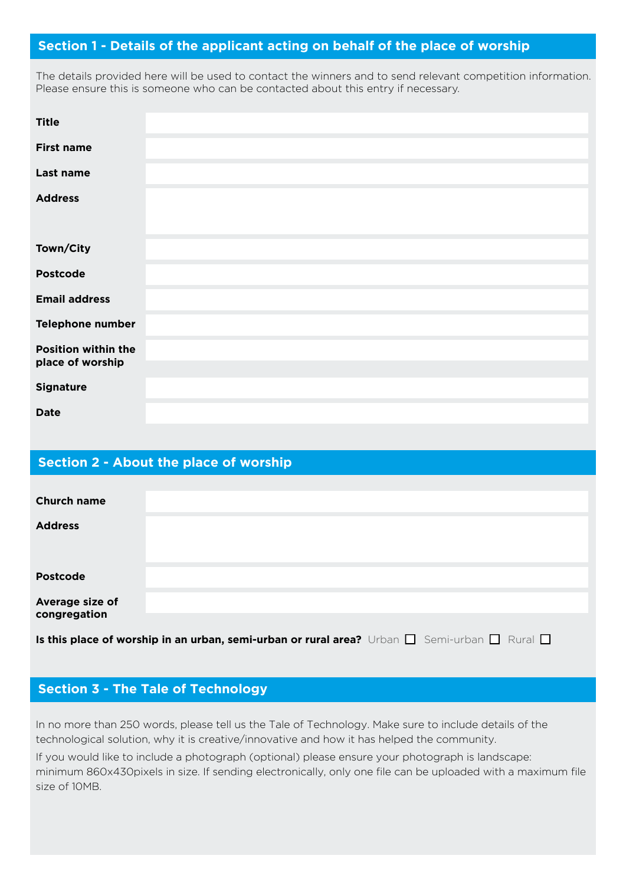#### **Section 1 - Details of the applicant acting on behalf of the place of worship**

The details provided here will be used to contact the winners and to send relevant competition information. Please ensure this is someone who can be contacted about this entry if necessary.

| <b>Title</b>                                   |  |
|------------------------------------------------|--|
| <b>First name</b>                              |  |
| Last name                                      |  |
| <b>Address</b>                                 |  |
| Town/City                                      |  |
| <b>Postcode</b>                                |  |
| <b>Email address</b>                           |  |
| Telephone number                               |  |
| <b>Position within the</b><br>place of worship |  |
|                                                |  |
| <b>Signature</b>                               |  |
| <b>Date</b>                                    |  |

#### **Section 2 - About the place of worship**

| <b>Church name</b>                                                                                          |  |  |  |  |
|-------------------------------------------------------------------------------------------------------------|--|--|--|--|
| <b>Address</b>                                                                                              |  |  |  |  |
|                                                                                                             |  |  |  |  |
| <b>Postcode</b>                                                                                             |  |  |  |  |
| Average size of                                                                                             |  |  |  |  |
| congregation                                                                                                |  |  |  |  |
|                                                                                                             |  |  |  |  |
| Is this place of worship in an urban, semi-urban or rural area? Urban $\Box$ Semi-urban $\Box$ Rural $\Box$ |  |  |  |  |

#### **Section 3 - The Tale of Technology**

In no more than 250 words, please tell us the Tale of Technology. Make sure to include details of the technological solution, why it is creative/innovative and how it has helped the community.

If you would like to include a photograph (optional) please ensure your photograph is landscape: minimum 860x430pixels in size. If sending electronically, only one file can be uploaded with a maximum file size of 10MB.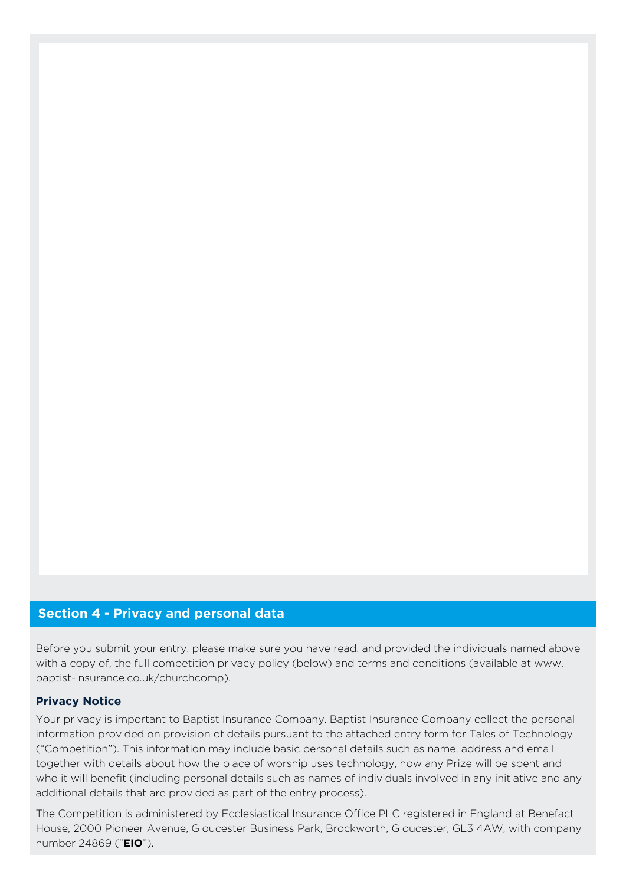#### **Section 4 - Privacy and personal data**

Before you submit your entry, please make sure you have read, and provided the individuals named above with a copy of, the full competition privacy policy (below) and terms and conditions (available at www. baptist-insurance.co.uk/churchcomp).

#### **Privacy Notice**

Your privacy is important to Baptist Insurance Company. Baptist Insurance Company collect the personal information provided on provision of details pursuant to the attached entry form for Tales of Technology ("Competition"). This information may include basic personal details such as name, address and email together with details about how the place of worship uses technology, how any Prize will be spent and who it will benefit (including personal details such as names of individuals involved in any initiative and any additional details that are provided as part of the entry process).

The Competition is administered by Ecclesiastical Insurance Office PLC registered in England at Benefact House, 2000 Pioneer Avenue, Gloucester Business Park, Brockworth, Gloucester, GL3 4AW, with company number 24869 ("**EIO**").